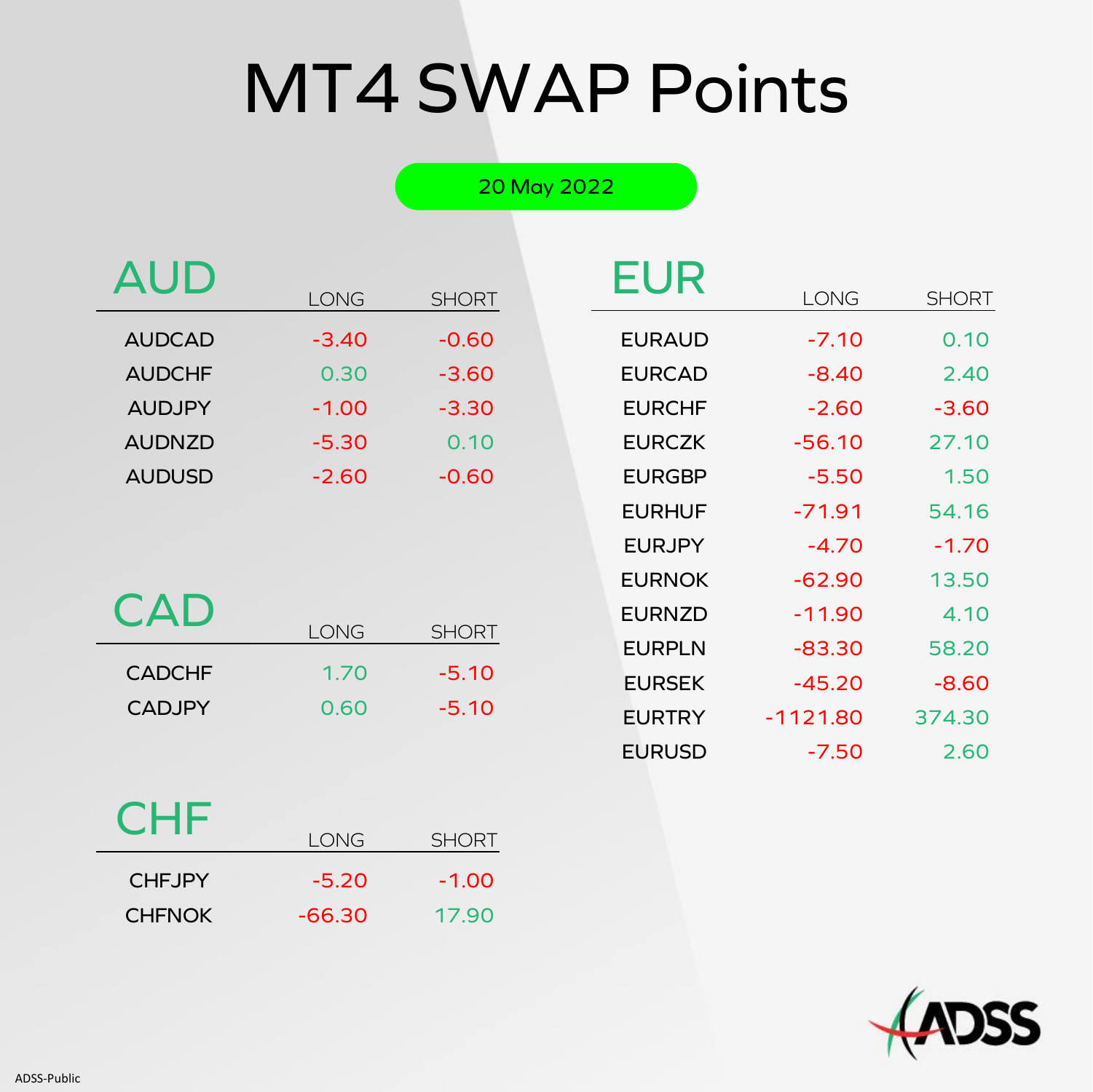# MT4 SWAP Points

20 May 2022

| <b>AUD</b>    |             |              | <b>EUR</b>    |             |              |
|---------------|-------------|--------------|---------------|-------------|--------------|
|               | <b>LONG</b> | <b>SHORT</b> |               | <b>LONG</b> | <b>SHORT</b> |
| <b>AUDCAD</b> | $-3.40$     | $-0.60$      | <b>EURAUD</b> | $-7.10$     | 0.10         |
| <b>AUDCHF</b> | 0.30        | $-3.60$      | <b>EURCAD</b> | $-8.40$     | 2.40         |
| <b>AUDJPY</b> | $-1.00$     | $-3.30$      | <b>EURCHF</b> | $-2.60$     | $-3.60$      |
| <b>AUDNZD</b> | $-5.30$     | 0.10         | <b>EURCZK</b> | $-56.10$    | 27.10        |
| <b>AUDUSD</b> | $-2.60$     | $-0.60$      | <b>EURGBP</b> | $-5.50$     | 1.50         |
|               |             |              |               |             |              |

| <b>CAD</b>    |      |              |
|---------------|------|--------------|
|               | LONG | <b>SHORT</b> |
| <b>CADCHF</b> | 1.70 | $-5.10$      |
| <b>CADJPY</b> | 0.60 | $-5.10$      |

| EUR           | LONG       | SHORT   |
|---------------|------------|---------|
|               |            |         |
| <b>EURAUD</b> | $-7.10$    | 0.10    |
| <b>EURCAD</b> | -8.40      | 2.40    |
| <b>EURCHF</b> | $-2.60$    | $-3.60$ |
| <b>EURCZK</b> | $-56.10$   | 27.10   |
| <b>EURGBP</b> | $-5.50$    | 1.50    |
| <b>EURHUF</b> | -71.91     | 54.16   |
| <b>EURJPY</b> | $-4.70$    | $-1.70$ |
| <b>EURNOK</b> | $-62.90$   | 13.50   |
| <b>EURNZD</b> | $-11.90$   | 4.10    |
| <b>EURPLN</b> | $-83.30$   | 58.20   |
| <b>EURSEK</b> | $-45.20$   | $-8.60$ |
| <b>EURTRY</b> | $-1121.80$ | 374.30  |
| <b>EURUSD</b> | -7.50      | 2.60    |

### **CHF**

|               | LONG     | <b>SHORT</b> |
|---------------|----------|--------------|
| <b>CHEJPY</b> | $-5.20$  | $-1.00$      |
| <b>CHFNOK</b> | $-66.30$ | 17.90        |

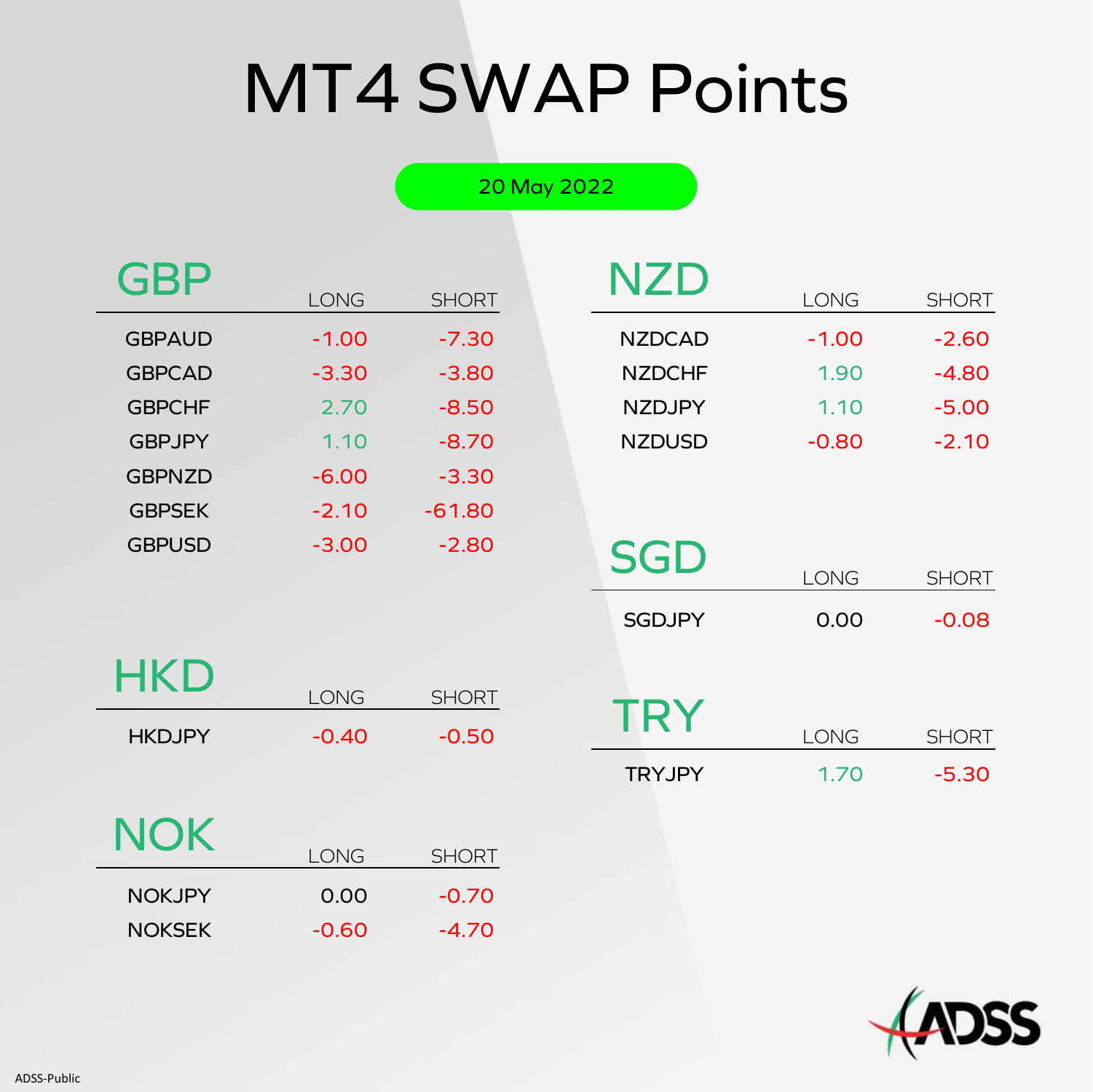# MT4 SWAP Points

#### 20 May 2022

| <b>GBP</b>    |         |              |
|---------------|---------|--------------|
|               | LONG    | <b>SHORT</b> |
| <b>GBPAUD</b> | $-1.00$ | $-7.30$      |
| <b>GBPCAD</b> | $-3.30$ | $-3.80$      |
| <b>GBPCHF</b> | 2.70    | $-8.50$      |
| <b>GBPJPY</b> | 1.10    | $-8.70$      |
| <b>GBPNZD</b> | $-6.00$ | $-3.30$      |
| <b>GBPSEK</b> | $-2.10$ | $-61.80$     |
| <b>GBPUSD</b> | $-3.00$ | $-2.80$      |

| NZD           |         |              |
|---------------|---------|--------------|
|               | LONG    | <b>SHORT</b> |
| <b>NZDCAD</b> | $-1.00$ | $-2.60$      |
| <b>NZDCHF</b> | 1.90    | $-4.80$      |
| <b>NZDJPY</b> | 1.10    | $-5.00$      |
| <b>NZDUSD</b> | $-0.80$ | $-2.10$      |
|               |         |              |

| <b>HKD</b>    | LONG    | <b>SHORT</b> |
|---------------|---------|--------------|
| <b>HKDJPY</b> | $-0.40$ | $-0.50$      |
|               |         |              |

| <b>SGD</b>    |      |              |
|---------------|------|--------------|
|               | LONG | <b>SHORT</b> |
| <b>SGDJPY</b> | 0.00 | $-0.08$      |
| TRY           | LONG | <b>SHORT</b> |
| <b>TRYJPY</b> | 1.70 | $-5.30$      |

| <b>NOK</b> |  |
|------------|--|

| <b>NOK</b>    | LONG    | <b>SHORT</b> |
|---------------|---------|--------------|
| <b>NOKJPY</b> | 0.00    | $-0.70$      |
| <b>NOKSEK</b> | $-0.60$ | $-4.70$      |